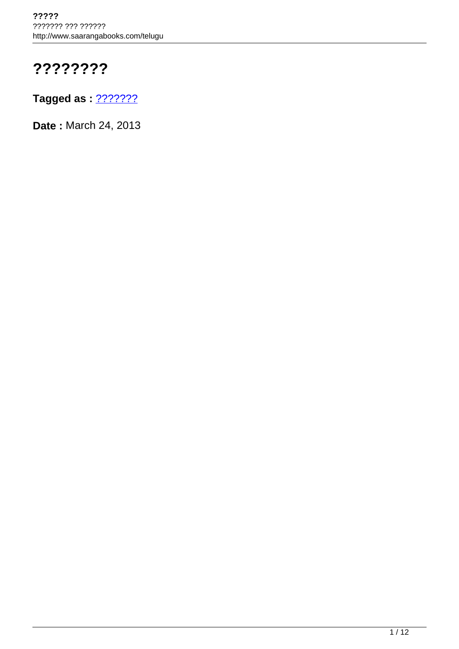# **????????**

**Tagged as :** [???????](http://www.saarangabooks.com/telugu/tag/%e0%b0%b8%e0%b0%be%e0%b0%ae%e0%b0%be%e0%b0%a8%e0%b1%8d%e0%b0%af/)

**Date :** March 24, 2013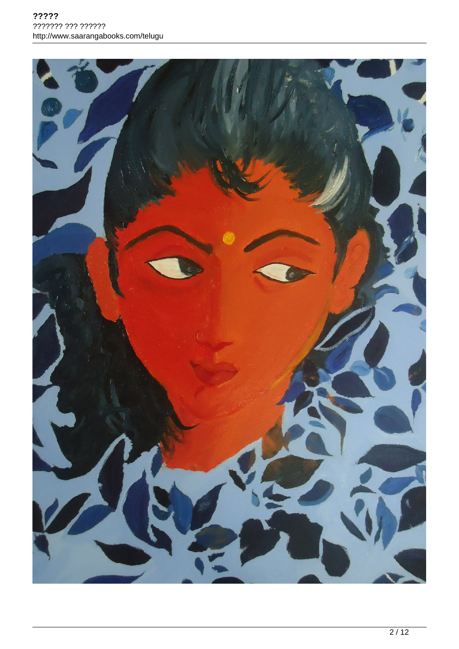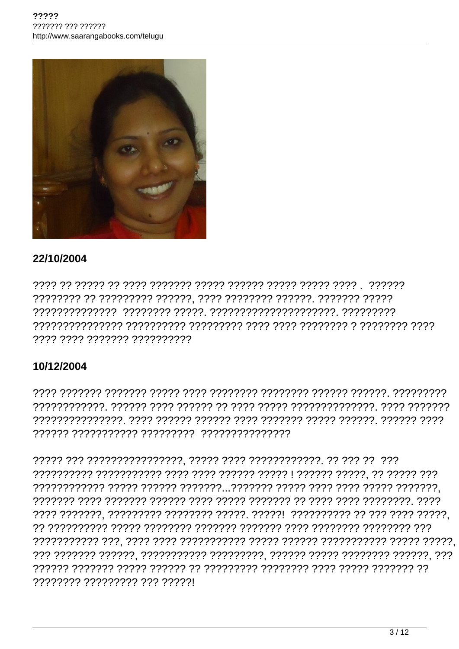

## 22/10/2004

???? ???? ??????? ??????????

#### 10/12/2004

יִּרְ רְיִרְיִרְיָךְ רְיִרְיָךְ רְיִרְיָ רְיִרְיְרְיִרְיִךְ רְיִרְיִרְיָךְ רְּיְרְיִרְיָ רְיִרְיִרְיָ רְיִרְיִרְיָ 77777777 ????????? ??? ?????!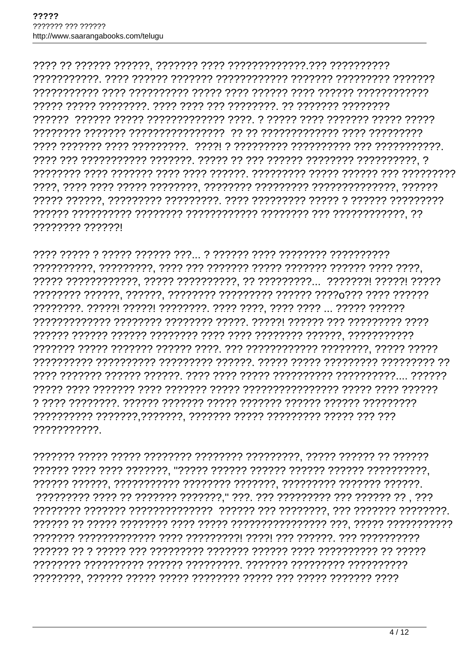77777777 7777771

???????????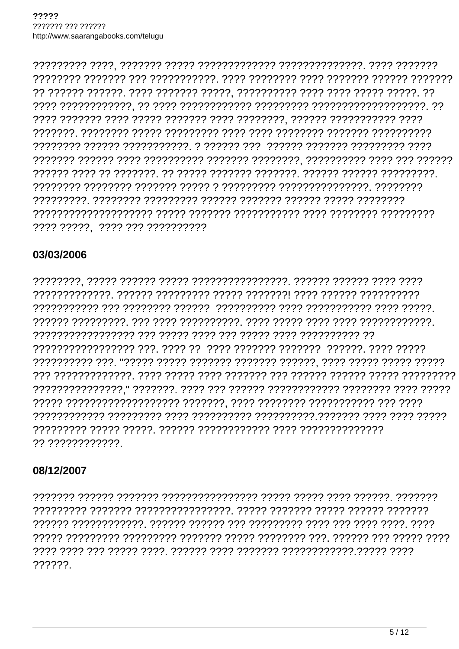???? ?????. ???? ??? ??????????

## 03/03/2006

77 777777777777

#### 08/12/2007

??????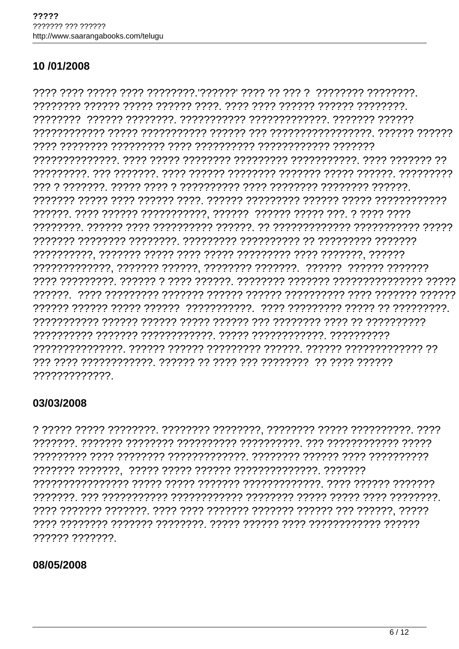# 10/01/2008

<u>ורדרדרדרך דרדרדרך דרדר דרדר דרדר ורדרדרין דרדרדרך דרדר דרדרך דרדר דרדר דר</u> 7777777777777

#### 03/03/2008

777777 7777777

#### 08/05/2008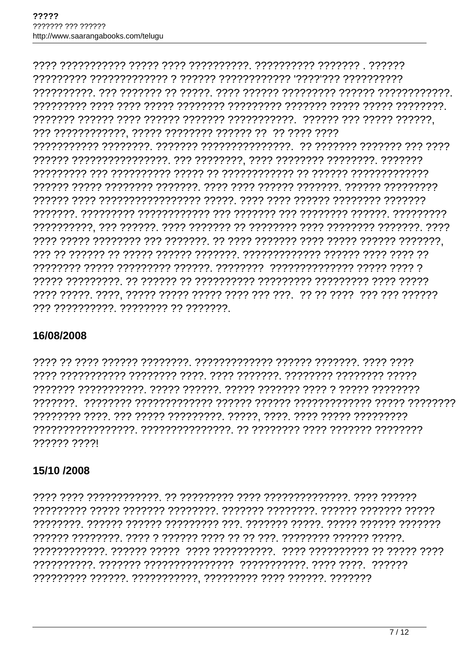777 7777777777 77777777 77 7777777

#### 16/08/2008

777777 77771

# 15/10 /2008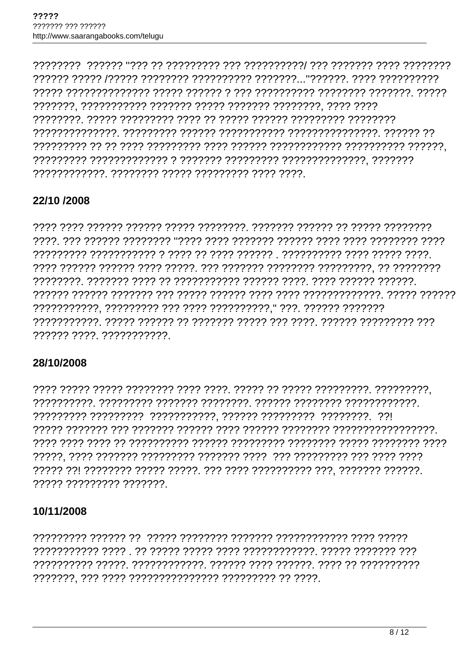7777777 7777777 דרכר ררך נרדו הרביר הרך ררך ררב הרביר הרביי ררבי לרביר הרבי 

#### 22/10 /2008

777777 7777 77777777777

#### 28/10/2008

#### 10/11/2008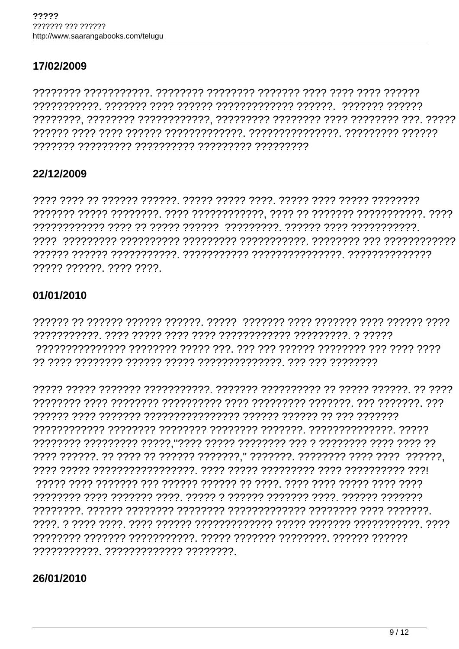## 17/02/2009

#### 22/12/2009

77777 777777 7777 7777

## 01/01/2010

??????????? ????????????? ????????

# 26/01/2010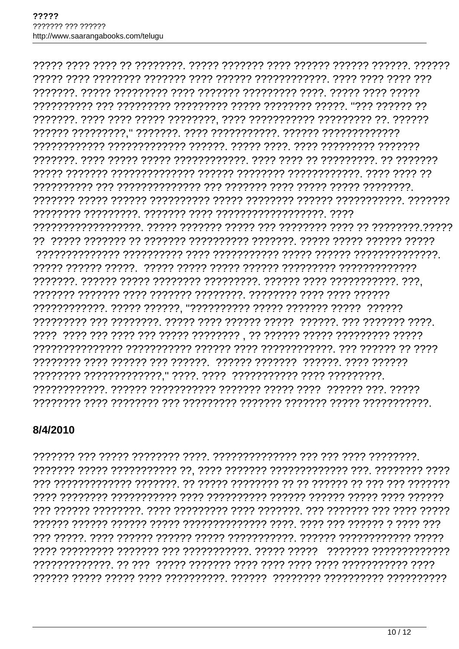# 8/4/2010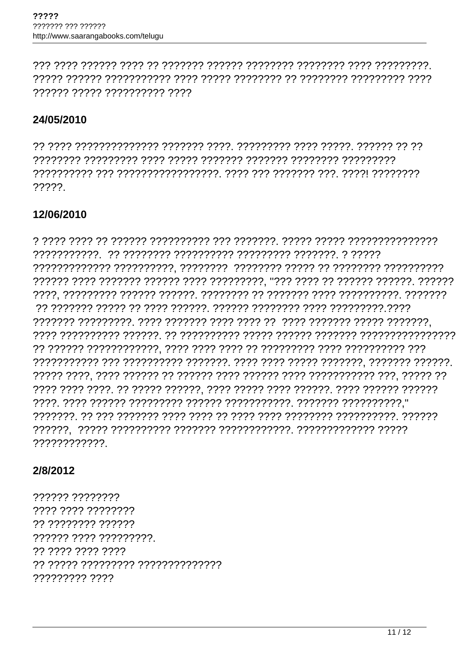777777 77777 7777777777 7777

### 24/05/2010

?????

#### 12/06/2010

77777777777

#### 2/8/2012

777777 77777777 7777 7777 77777777 ?? ???????? ?????? 777777 7777 777777777  $22.2222.2222$ ?? ????? ???????? ?????????????? 777777777 7777